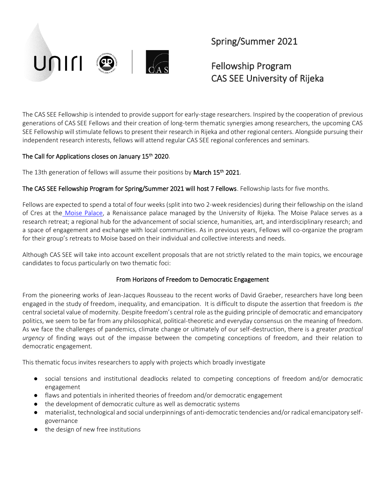

## Spring/Summer 2021

# Fellowship Program CAS SEE University of Rijeka

The CAS SEE Fellowship is intended to provide support for early-stage researchers. Inspired by the cooperation of previous generations of CAS SEE Fellows and their creation of long-term thematic synergies among researchers, the upcoming CAS SEE Fellowship will stimulate fellows to present their research in Rijeka and other regional centers. Alongside pursuing their independent research interests, fellows will attend regular CAS SEE regional conferences and seminars.

### The Call for Applications closes on January 15<sup>th</sup> 2020.

The 13th generation of fellows will assume their positions by March 15<sup>th</sup> 2021.

The CAS SEE Fellowship Program for Spring/Summer 2021 will host 7 Fellows. Fellowship lasts for five months.

Fellows are expected to spend a total of four weeks (split into two 2-week residencies) during their fellowship on the island of Cres at the [Moise Palace,](https://uniri.hr/en/university-and-community/palace-moise/) a Renaissance palace managed by the University of Rijeka. The Moise Palace serves as a research retreat; a regional hub for the advancement of social science, humanities, art, and interdisciplinary research; and a space of engagement and exchange with local communities. As in previous years, Fellows will co-organize the program for their group's retreats to Moise based on their individual and collective interests and needs.

Although CAS SEE will take into account excellent proposals that are not strictly related to the main topics, we encourage candidates to focus particularly on two thematic foci:

## From Horizons of Freedom to Democratic Engagement

From the pioneering works of Jean-Jacques Rousseau to the recent works of David Graeber, researchers have long been engaged in the study of freedom, inequality, and emancipation. It is difficult to dispute the assertion that freedom is *the* central societal value of modernity. Despite freedom's central role as the guiding principle of democratic and emancipatory politics, we seem to be far from any philosophical, political-theoretic and everyday consensus on the meaning of freedom. As we face the challenges of pandemics, climate change or ultimately of our self-destruction, there is a greater *practical urgency* of finding ways out of the impasse between the competing conceptions of freedom, and their relation to democratic engagement.

This thematic focus invites researchers to apply with projects which broadly investigate

- social tensions and institutional deadlocks related to competing conceptions of freedom and/or democratic engagement
- flaws and potentials in inherited theories of freedom and/or democratic engagement
- the development of democratic culture as well as democratic systems
- materialist, technological and social underpinnings of anti-democratic tendencies and/or radical emancipatory selfgovernance
- the design of new free institutions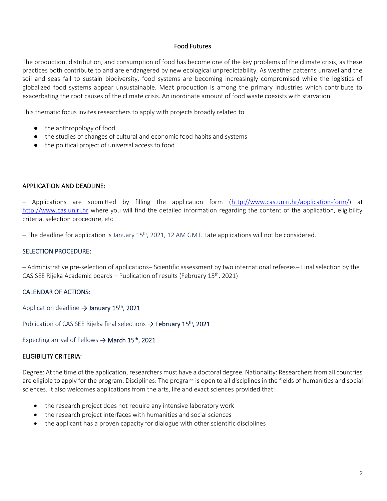#### Food Futures

The production, distribution, and consumption of food has become one of the key problems of the climate crisis, as these practices both contribute to and are endangered by new ecological unpredictability. As weather patterns unravel and the soil and seas fail to sustain biodiversity, food systems are becoming increasingly compromised while the logistics of globalized food systems appear unsustainable. Meat production is among the primary industries which contribute to exacerbating the root causes of the climate crisis. An inordinate amount of food waste coexists with starvation.

This thematic focus invites researchers to apply with projects broadly related to

- the anthropology of food
- the studies of changes of cultural and economic food habits and systems
- the political project of universal access to food

#### APPLICATION AND DEADLINE:

– Applications are submitted by filling the application form [\(http://www.cas.uniri.hr/application-form/\)](http://www.cas.uniri.hr/application-form/) at [http://www.cas.uniri.hr](http://www.cas.uniri.hr/) where you will find the detailed information regarding the content of the application, eligibility criteria, selection procedure, etc.

- The deadline for application is January 15<sup>th</sup>, 2021, 12 AM GMT. Late applications will not be considered.

#### SELECTION PROCEDURE:

– Administrative pre-selection of applications– Scientific assessment by two international referees– Final selection by the CAS SEE Rijeka Academic boards – Publication of results (February 15<sup>th</sup>, 2021)

### CALENDAR OF ACTIONS:

Application deadline  $\rightarrow$  January 15<sup>th</sup>, 2021

Publication of CAS SEE Rijeka final selections → February 15<sup>th</sup>, 2021

Expecting arrival of Fellows  $\rightarrow$  March 15<sup>th</sup>, 2021

### ELIGIBILITY CRITERIA:

Degree: At the time of the application, researchers must have a doctoral degree. Nationality: Researchers from all countries are eligible to apply for the program. Disciplines: The program is open to all disciplines in the fields of humanities and social sciences. It also welcomes applications from the arts, life and exact sciences provided that:

- the research project does not require any intensive laboratory work
- the research project interfaces with humanities and social sciences
- the applicant has a proven capacity for dialogue with other scientific disciplines